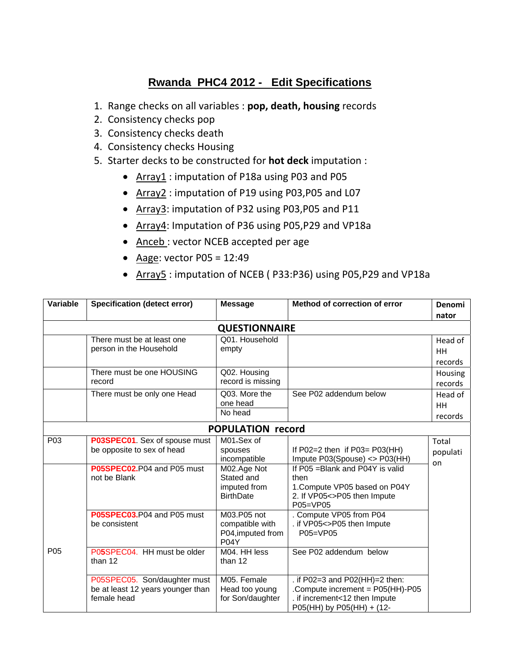# **Rwanda PHC4 2012 - Edit Specifications**

- 1. Range checks on all variables : **pop, death, housing** records
- 2. Consistency checks pop
- 3. Consistency checks death
- 4. Consistency checks Housing
- 5. Starter decks to be constructed for **hot deck** imputation :
	- Array1 : imputation of P18a using P03 and P05
	- Array2 : imputation of P19 using P03, P05 and L07
	- Array3: imputation of P32 using P03, P05 and P11
	- Array4: Imputation of P36 using P05,P29 and VP18a
	- Anceb: vector NCEB accepted per age
	- Aage: vector  $P05 = 12:49$
	- Array5 : imputation of NCEB (P33:P36) using P05,P29 and VP18a

| Variable         | <b>Specification (detect error)</b> | <b>Message</b>           | Method of correction of error           | Denomi    |
|------------------|-------------------------------------|--------------------------|-----------------------------------------|-----------|
|                  |                                     |                          |                                         | nator     |
|                  |                                     | <b>QUESTIONNAIRE</b>     |                                         |           |
|                  | There must be at least one          | Q01. Household           |                                         | Head of   |
|                  | person in the Household             | empty                    |                                         | <b>HH</b> |
|                  |                                     |                          |                                         | records   |
|                  | There must be one HOUSING           | Q02. Housing             |                                         | Housing   |
|                  | record                              | record is missing        |                                         | records   |
|                  | There must be only one Head         | Q03. More the            | See P02 addendum below                  | Head of   |
|                  |                                     | one head                 |                                         | <b>HH</b> |
|                  |                                     | No head                  |                                         | records   |
|                  |                                     | <b>POPULATION record</b> |                                         |           |
| P <sub>0</sub> 3 | P03SPEC01. Sex of spouse must       | M01.Sex of               |                                         | Total     |
|                  | be opposite to sex of head          | spouses                  | If $PO2=2$ then if $PO3=PO3(HH)$        | populati  |
|                  |                                     | incompatible             | Impute P03(Spouse) <> P03(HH)           | on        |
|                  | P05SPEC02.P04 and P05 must          | M02.Age Not              | If P05 = Blank and P04Y is valid        |           |
|                  | not be Blank                        | Stated and               | then                                    |           |
|                  |                                     | imputed from             | 1. Compute VP05 based on P04Y           |           |
|                  |                                     | <b>BirthDate</b>         | 2. If VP05<>P05 then Impute<br>P05=VP05 |           |
|                  | P05SPEC03.P04 and P05 must          | M03.P05 not              | . Compute VP05 from P04                 |           |
|                  | be consistent                       | compatible with          | . if VP05<>P05 then Impute              |           |
|                  |                                     | P04, imputed from        | P05=VP05                                |           |
|                  |                                     | P04Y                     |                                         |           |
| P <sub>05</sub>  | P05SPEC04. HH must be older         | M04. HH less             | See P02 addendum below                  |           |
|                  | than 12                             | than 12                  |                                         |           |
|                  |                                     |                          |                                         |           |
|                  | P05SPEC05. Son/daughter must        | M05. Female              | . if P02=3 and P02(HH)=2 then:          |           |
|                  | be at least 12 years younger than   | Head too young           | Compute increment = P05(HH)-P05         |           |
|                  | female head                         | for Son/daughter         | . if increment<12 then Impute           |           |
|                  |                                     |                          | P05(HH) by P05(HH) + (12-               |           |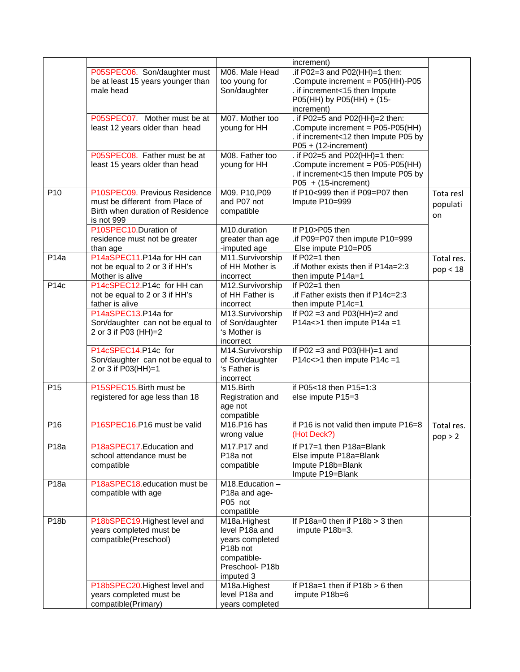|                  | increment)                                                                                                         |                                                                                                                          |                                                                                                                                               |                             |
|------------------|--------------------------------------------------------------------------------------------------------------------|--------------------------------------------------------------------------------------------------------------------------|-----------------------------------------------------------------------------------------------------------------------------------------------|-----------------------------|
|                  | P05SPEC06. Son/daughter must<br>be at least 15 years younger than<br>male head                                     | M06. Male Head<br>too young for<br>Son/daughter                                                                          | .if P02=3 and P02(HH)=1 then:<br>.Compute increment = P05(HH)-P05<br>. if increment<15 then Impute<br>P05(HH) by P05(HH) + (15-<br>increment) |                             |
|                  | P05SPEC07. Mother must be at<br>least 12 years older than head                                                     | M07. Mother too<br>young for HH                                                                                          | . if P02=5 and P02(HH)=2 then:<br>.Compute increment = P05-P05(HH)<br>. if increment<12 then Impute P05 by<br>$P05 + (12\text{-increment})$   |                             |
|                  | P05SPEC08. Father must be at<br>least 15 years older than head                                                     | M08. Father too<br>young for HH                                                                                          | . if P02=5 and P02(HH)=1 then:<br>.Compute increment = P05-P05(HH)<br>. if increment<15 then Impute P05 by<br>$P05 + (15\text{-}increment)$   |                             |
| P <sub>10</sub>  | P10SPEC09. Previous Residence<br>must be different from Place of<br>Birth when duration of Residence<br>is not 999 | M09. P10, P09<br>and P07 not<br>compatible<br>M10.duration                                                               | If P10<999 then if P09=P07 then<br>Impute P10=999<br>If P10>P05 then                                                                          | Tota resl<br>populati<br>on |
|                  | P10SPEC10.Duration of<br>residence must not be greater<br>than age                                                 | greater than age<br>-imputed age                                                                                         | .if P09=P07 then impute P10=999<br>Else impute P10=P05                                                                                        |                             |
| P14a             | P14aSPEC11.P14a for HH can<br>not be equal to 2 or 3 if HH's<br>Mother is alive                                    | M11.Survivorship<br>of HH Mother is<br>incorrect                                                                         | If $P02=1$ then<br>.if Mother exists then if P14a=2:3<br>then impute P14a=1                                                                   | Total res.<br>pop < 18      |
| P14c             | P14cSPEC12.P14c for HH can<br>not be equal to 2 or 3 if HH's<br>father is alive                                    | M12.Survivorship<br>of HH Father is<br>incorrect                                                                         | If P02=1 then<br>.if Father exists then if P14c=2:3<br>then impute P14c=1                                                                     |                             |
|                  | P14aSPEC13.P14a for<br>Son/daughter can not be equal to<br>2 or 3 if P03 (HH)=2                                    | M13.Survivorship<br>of Son/daughter<br>'s Mother is<br>incorrect                                                         | If $P02 = 3$ and $P03(HH) = 2$ and<br>P14a<>1 then impute P14a =1                                                                             |                             |
|                  | P14cSPEC14.P14c for<br>Son/daughter can not be equal to<br>2 or 3 if P03(HH)=1                                     | M14.Survivorship<br>of Son/daughter<br>'s Father is<br>incorrect                                                         | If $PO2 = 3$ and $PO3(HH)=1$ and<br>P14c<>1 then impute P14c =1                                                                               |                             |
| P <sub>15</sub>  | P15SPEC15.Birth must be<br>registered for age less than 18                                                         | M <sub>15</sub> . Birth<br>Registration and<br>age not<br>compatible                                                     | if P05<18 then P15=1:3<br>else impute P15=3                                                                                                   |                             |
| P <sub>16</sub>  | P16SPEC16.P16 must be valid                                                                                        | M16.P16 has<br>wrong value                                                                                               | if P16 is not valid then impute P16=8<br>(Hot Deck?)                                                                                          | Total res.<br>pop > 2       |
| P <sub>18a</sub> | P18aSPEC17.Education and<br>school attendance must be<br>compatible                                                | M17.P17 and<br>P <sub>18</sub> a not<br>compatible                                                                       | If P17=1 then P18a=Blank<br>Else impute P18a=Blank<br>Impute P18b=Blank<br>Impute P19=Blank                                                   |                             |
| P18a             | P18aSPEC18.education must be<br>compatible with age                                                                | M18.Education-<br>P18a and age-<br>P05 not<br>compatible                                                                 |                                                                                                                                               |                             |
| P <sub>18b</sub> | P18bSPEC19. Highest level and<br>years completed must be<br>compatible(Preschool)                                  | M18a.Highest<br>level P18a and<br>years completed<br>P <sub>18</sub> b not<br>compatible-<br>Preschool-P18b<br>imputed 3 | If $P18a=0$ then if $P18b > 3$ then<br>impute P18b=3.                                                                                         |                             |
|                  | P18bSPEC20.Highest level and<br>years completed must be<br>compatible(Primary)                                     | M18a.Highest<br>level P18a and<br>years completed                                                                        | If $P18a=1$ then if $P18b > 6$ then<br>impute P18b=6                                                                                          |                             |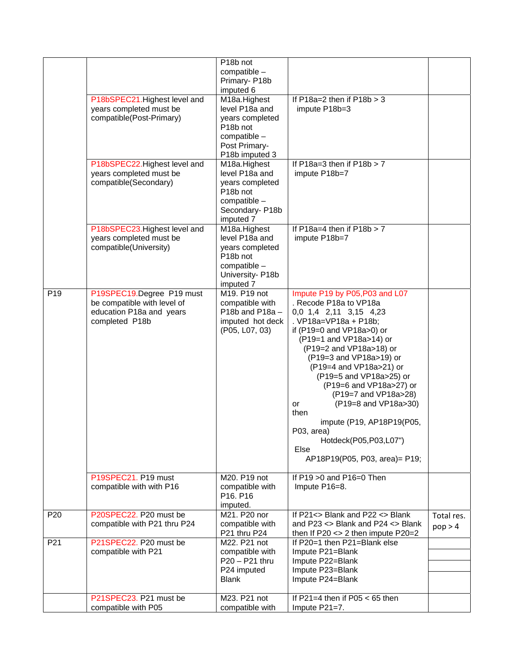|                 |                               | P18b not              |                                         |            |
|-----------------|-------------------------------|-----------------------|-----------------------------------------|------------|
|                 |                               | compatible -          |                                         |            |
|                 |                               | Primary-P18b          |                                         |            |
|                 |                               | imputed 6             |                                         |            |
|                 | P18bSPEC21.Highest level and  | M18a.Highest          | If $P18a=2$ then if $P18b > 3$          |            |
|                 |                               |                       |                                         |            |
|                 | years completed must be       | level P18a and        | impute P18b=3                           |            |
|                 | compatible(Post-Primary)      | years completed       |                                         |            |
|                 |                               | P <sub>18</sub> b not |                                         |            |
|                 |                               | compatible -          |                                         |            |
|                 |                               | Post Primary-         |                                         |            |
|                 |                               | P18b imputed 3        |                                         |            |
|                 | P18bSPEC22. Highest level and | M18a.Highest          | If $P18a=3$ then if $P18b > 7$          |            |
|                 | years completed must be       | level P18a and        | impute P18b=7                           |            |
|                 | compatible(Secondary)         | years completed       |                                         |            |
|                 |                               | P18b not              |                                         |            |
|                 |                               | compatible -          |                                         |            |
|                 |                               | Secondary-P18b        |                                         |            |
|                 |                               | imputed 7             |                                         |            |
|                 | P18bSPEC23. Highest level and | M18a.Highest          | If $P18a=4$ then if $P18b > 7$          |            |
|                 | years completed must be       | level P18a and        | impute P18b=7                           |            |
|                 | compatible(University)        | years completed       |                                         |            |
|                 |                               | P <sub>18</sub> b not |                                         |            |
|                 |                               | compatible -          |                                         |            |
|                 |                               | University- P18b      |                                         |            |
|                 |                               | imputed 7             |                                         |            |
| P <sub>19</sub> | P19SPEC19.Degree P19 must     | M19. P19 not          | Impute P19 by P05, P03 and L07          |            |
|                 | be compatible with level of   | compatible with       | . Recode P18a to VP18a                  |            |
|                 | education P18a and years      | P18b and P18a-        | 0,0 1,4 2,11 3,15 4,23                  |            |
|                 | completed P18b                | imputed hot deck      | . VP18a=VP18a + P18b;                   |            |
|                 |                               | (P05, L07, 03)        | if (P19=0 and VP18a>0) or               |            |
|                 |                               |                       |                                         |            |
|                 |                               |                       | (P19=1 and VP18a>14) or                 |            |
|                 |                               |                       | (P19=2 and VP18a>18) or                 |            |
|                 |                               |                       | (P19=3 and VP18a>19) or                 |            |
|                 |                               |                       | (P19=4 and VP18a>21) or                 |            |
|                 |                               |                       | (P19=5 and VP18a>25) or                 |            |
|                 |                               |                       | (P19=6 and VP18a>27) or                 |            |
|                 |                               |                       | (P19=7 and VP18a>28)                    |            |
|                 |                               |                       | (P19=8 and VP18a>30)<br>or              |            |
|                 |                               |                       | then                                    |            |
|                 |                               |                       | impute (P19, AP18P19(P05,               |            |
|                 |                               |                       | P03, area)                              |            |
|                 |                               |                       | Hotdeck(P05,P03,L07")                   |            |
|                 |                               |                       | Else                                    |            |
|                 |                               |                       | AP18P19(P05, P03, area)= P19;           |            |
|                 |                               |                       |                                         |            |
|                 | P19SPEC21. P19 must           | M20. P19 not          | If P19 > 0 and P16=0 Then               |            |
|                 | compatible with with P16      | compatible with       | Impute P16=8.                           |            |
|                 |                               | P16. P16              |                                         |            |
|                 |                               | imputed.              |                                         |            |
| P <sub>20</sub> | P20SPEC22. P20 must be        | M21. P20 nor          | If $P21 \leq P21 \leq P22 \leq B$ lank  | Total res. |
|                 | compatible with P21 thru P24  | compatible with       | and P23 <> Blank and P24 <> Blank       | pop > 4    |
|                 |                               | P21 thru P24          | then If $P20 \le 2$ then impute $P20=2$ |            |
| P21             | P21SPEC22. P20 must be        | M22. P21 not          | If P20=1 then P21=Blank else            |            |
|                 | compatible with P21           | compatible with       | Impute P21=Blank                        |            |
|                 |                               | P20 - P21 thru        | Impute P22=Blank                        |            |
|                 |                               | P24 imputed           | Impute P23=Blank                        |            |
|                 |                               | <b>Blank</b>          | Impute P24=Blank                        |            |
|                 |                               |                       |                                         |            |
|                 | P21SPEC23. P21 must be        | M23. P21 not          | If P21=4 then if P05 $<$ 65 then        |            |
|                 | compatible with P05           | compatible with       | Impute P21=7.                           |            |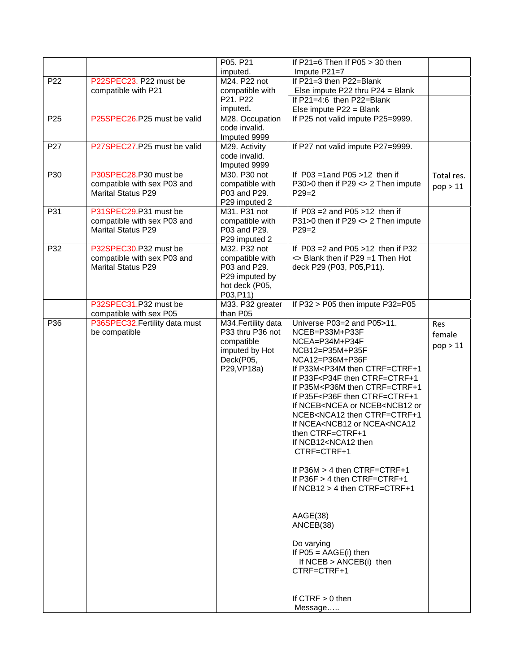| Impute P21=7<br>imputed.<br>If $P21 = 3$ then $P22 = Blank$<br>P <sub>22</sub><br>P22SPEC23. P22 must be<br>M24. P22 not<br>compatible with P21<br>compatible with<br>Else impute P22 thru P24 = Blank<br>P21. P22<br>If $P21=4:6$ then $P22=Blank$<br>imputed.<br>Else impute P22 = Blank<br>P <sub>25</sub><br>P25SPEC26.P25 must be valid<br>M28. Occupation<br>If P25 not valid impute P25=9999.<br>code invalid.<br>Imputed 9999<br>P27<br>P27SPEC27.P25 must be valid<br>If P27 not valid impute P27=9999.<br>M29. Activity<br>code invalid.<br>Imputed 9999<br>P30<br>P30SPEC28.P30 must be<br>If $P03 = 1$ and $P05 > 12$ then if<br>M30, P30 not |            |
|-----------------------------------------------------------------------------------------------------------------------------------------------------------------------------------------------------------------------------------------------------------------------------------------------------------------------------------------------------------------------------------------------------------------------------------------------------------------------------------------------------------------------------------------------------------------------------------------------------------------------------------------------------------|------------|
|                                                                                                                                                                                                                                                                                                                                                                                                                                                                                                                                                                                                                                                           |            |
|                                                                                                                                                                                                                                                                                                                                                                                                                                                                                                                                                                                                                                                           |            |
|                                                                                                                                                                                                                                                                                                                                                                                                                                                                                                                                                                                                                                                           |            |
|                                                                                                                                                                                                                                                                                                                                                                                                                                                                                                                                                                                                                                                           |            |
|                                                                                                                                                                                                                                                                                                                                                                                                                                                                                                                                                                                                                                                           |            |
|                                                                                                                                                                                                                                                                                                                                                                                                                                                                                                                                                                                                                                                           |            |
|                                                                                                                                                                                                                                                                                                                                                                                                                                                                                                                                                                                                                                                           |            |
|                                                                                                                                                                                                                                                                                                                                                                                                                                                                                                                                                                                                                                                           |            |
|                                                                                                                                                                                                                                                                                                                                                                                                                                                                                                                                                                                                                                                           |            |
|                                                                                                                                                                                                                                                                                                                                                                                                                                                                                                                                                                                                                                                           |            |
|                                                                                                                                                                                                                                                                                                                                                                                                                                                                                                                                                                                                                                                           | Total res. |
| compatible with sex P03 and<br>compatible with<br>P30>0 then if P29 <> 2 Then impute                                                                                                                                                                                                                                                                                                                                                                                                                                                                                                                                                                      | pop > 11   |
| <b>Marital Status P29</b><br>P03 and P29.<br>$P29=2$                                                                                                                                                                                                                                                                                                                                                                                                                                                                                                                                                                                                      |            |
| P29 imputed 2                                                                                                                                                                                                                                                                                                                                                                                                                                                                                                                                                                                                                                             |            |
| P31SPEC29.P31 must be<br>If $P03 = 2$ and $P05 > 12$ then if<br>P31<br>M31. P31 not                                                                                                                                                                                                                                                                                                                                                                                                                                                                                                                                                                       |            |
| compatible with sex P03 and<br>compatible with<br>P31>0 then if P29 <> 2 Then impute                                                                                                                                                                                                                                                                                                                                                                                                                                                                                                                                                                      |            |
| <b>Marital Status P29</b><br>P03 and P29.<br>$P29=2$                                                                                                                                                                                                                                                                                                                                                                                                                                                                                                                                                                                                      |            |
| P29 imputed 2                                                                                                                                                                                                                                                                                                                                                                                                                                                                                                                                                                                                                                             |            |
| P32SPEC30.P32 must be<br>If $P03 = 2$ and $P05 > 12$ then if P32<br>P32<br>M32, P32 not                                                                                                                                                                                                                                                                                                                                                                                                                                                                                                                                                                   |            |
| <> Blank then if P29 =1 Then Hot<br>compatible with sex P03 and<br>compatible with                                                                                                                                                                                                                                                                                                                                                                                                                                                                                                                                                                        |            |
| <b>Marital Status P29</b><br>P03 and P29.<br>deck P29 (P03, P05, P11).                                                                                                                                                                                                                                                                                                                                                                                                                                                                                                                                                                                    |            |
| P29 imputed by<br>hot deck (P05,                                                                                                                                                                                                                                                                                                                                                                                                                                                                                                                                                                                                                          |            |
| P03,P11)                                                                                                                                                                                                                                                                                                                                                                                                                                                                                                                                                                                                                                                  |            |
| P32SPEC31.P32 must be<br>If P32 > P05 then impute P32=P05<br>M33. P32 greater                                                                                                                                                                                                                                                                                                                                                                                                                                                                                                                                                                             |            |
| than P05<br>compatible with sex P05                                                                                                                                                                                                                                                                                                                                                                                                                                                                                                                                                                                                                       |            |
| P36<br>P36SPEC32. Fertility data must<br>M34. Fertility data<br>Universe P03=2 and P05>11.                                                                                                                                                                                                                                                                                                                                                                                                                                                                                                                                                                | <b>Res</b> |
| P33 thru P36 not<br>be compatible<br>NCEB=P33M+P33F                                                                                                                                                                                                                                                                                                                                                                                                                                                                                                                                                                                                       |            |
|                                                                                                                                                                                                                                                                                                                                                                                                                                                                                                                                                                                                                                                           |            |
| NCEA=P34M+P34F                                                                                                                                                                                                                                                                                                                                                                                                                                                                                                                                                                                                                                            | female     |
| compatible<br>imputed by Hot<br>NCB12=P35M+P35F                                                                                                                                                                                                                                                                                                                                                                                                                                                                                                                                                                                                           | pop > 11   |
| Deck(P05,<br>NCA12=P36M+P36F                                                                                                                                                                                                                                                                                                                                                                                                                                                                                                                                                                                                                              |            |
| P29, VP18a)<br>If P33M <p34m ctrf="CTRF+1&lt;/td" then=""><td></td></p34m>                                                                                                                                                                                                                                                                                                                                                                                                                                                                                                                                                                                |            |
| If P33F <p34f ctrf="CTRF+1&lt;/td" then=""><td></td></p34f>                                                                                                                                                                                                                                                                                                                                                                                                                                                                                                                                                                                               |            |
| If P35M <p36m ctrf="CTRF+1&lt;/td" then=""><td></td></p36m>                                                                                                                                                                                                                                                                                                                                                                                                                                                                                                                                                                                               |            |
| If P35F <p36f ctrf="CTRF+1&lt;/td" then=""><td></td></p36f>                                                                                                                                                                                                                                                                                                                                                                                                                                                                                                                                                                                               |            |
| If NCEB <ncea nceb<ncb12="" or="" or<="" td=""><td></td></ncea>                                                                                                                                                                                                                                                                                                                                                                                                                                                                                                                                                                                           |            |
| NCEB <nca12 ctrf="CTRF+1&lt;/td" then=""><td></td></nca12>                                                                                                                                                                                                                                                                                                                                                                                                                                                                                                                                                                                                |            |
| If NCEA <ncb12 ncea<nca12<="" or="" td=""><td></td></ncb12>                                                                                                                                                                                                                                                                                                                                                                                                                                                                                                                                                                                               |            |
| then CTRF=CTRF+1                                                                                                                                                                                                                                                                                                                                                                                                                                                                                                                                                                                                                                          |            |
| If NCB12 <nca12 td="" then<=""><td></td></nca12>                                                                                                                                                                                                                                                                                                                                                                                                                                                                                                                                                                                                          |            |
| CTRF=CTRF+1                                                                                                                                                                                                                                                                                                                                                                                                                                                                                                                                                                                                                                               |            |
|                                                                                                                                                                                                                                                                                                                                                                                                                                                                                                                                                                                                                                                           |            |
| If $P36M > 4$ then $CTRF=CTRF+1$                                                                                                                                                                                                                                                                                                                                                                                                                                                                                                                                                                                                                          |            |
| If $P36F > 4$ then $CTRF=CTRF+1$<br>If NCB12 $>$ 4 then CTRF=CTRF+1                                                                                                                                                                                                                                                                                                                                                                                                                                                                                                                                                                                       |            |
|                                                                                                                                                                                                                                                                                                                                                                                                                                                                                                                                                                                                                                                           |            |
|                                                                                                                                                                                                                                                                                                                                                                                                                                                                                                                                                                                                                                                           |            |
| AAGE(38)                                                                                                                                                                                                                                                                                                                                                                                                                                                                                                                                                                                                                                                  |            |
| ANCEB <sub>(38)</sub>                                                                                                                                                                                                                                                                                                                                                                                                                                                                                                                                                                                                                                     |            |
|                                                                                                                                                                                                                                                                                                                                                                                                                                                                                                                                                                                                                                                           |            |
| Do varying                                                                                                                                                                                                                                                                                                                                                                                                                                                                                                                                                                                                                                                |            |
| If $PO5 = AAGE(i)$ then                                                                                                                                                                                                                                                                                                                                                                                                                                                                                                                                                                                                                                   |            |
| If $NCEB > ANCEB(i)$ then                                                                                                                                                                                                                                                                                                                                                                                                                                                                                                                                                                                                                                 |            |
| CTRF=CTRF+1                                                                                                                                                                                                                                                                                                                                                                                                                                                                                                                                                                                                                                               |            |
|                                                                                                                                                                                                                                                                                                                                                                                                                                                                                                                                                                                                                                                           |            |
| If $CTRF > 0$ then                                                                                                                                                                                                                                                                                                                                                                                                                                                                                                                                                                                                                                        |            |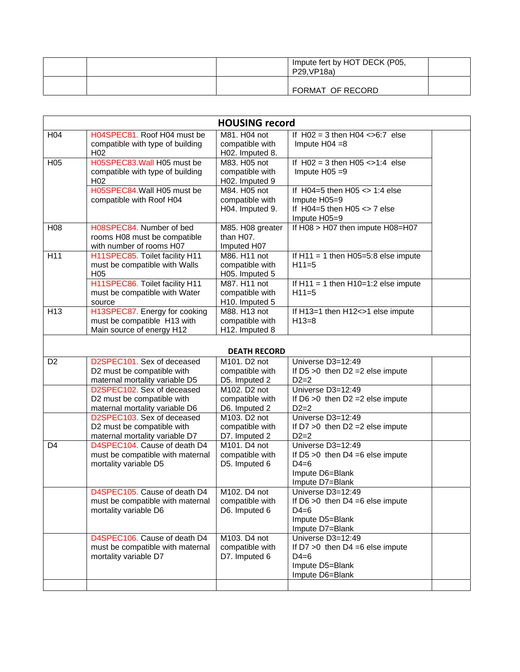|  | Impute fert by HOT DECK (P05,<br>P29.VP18a) |  |
|--|---------------------------------------------|--|
|  | FORMAT OF RECORD                            |  |

|                 |                                                                                            | <b>HOUSING record</b>                              |                                                                                                            |  |
|-----------------|--------------------------------------------------------------------------------------------|----------------------------------------------------|------------------------------------------------------------------------------------------------------------|--|
| H04             | H04SPEC81. Roof H04 must be<br>compatible with type of building<br>H <sub>02</sub>         | M81. H04 not<br>compatible with<br>H02. Imputed 8. | If $H02 = 3$ then $H04 \le 6.7$ else<br>Impute $H04 = 8$                                                   |  |
| H <sub>05</sub> | H05SPEC83. Wall H05 must be<br>compatible with type of building<br>H <sub>02</sub>         | M83. H05 not<br>compatible with<br>H02. Imputed 9  | If $H02 = 3$ then $H05 \le 1.4$ else<br>Impute $H05 = 9$                                                   |  |
|                 | H05SPEC84. Wall H05 must be<br>compatible with Roof H04                                    | M84. H05 not<br>compatible with<br>H04. Imputed 9. | If $H04=5$ then $H05 \leq 1:4$ else<br>Impute H05=9<br>If $H04=5$ then $H05 \leq 7$ else<br>Impute H05=9   |  |
| H <sub>08</sub> | H08SPEC84. Number of bed<br>rooms H08 must be compatible<br>with number of rooms H07       | M85. H08 greater<br>than H07.<br>Imputed H07       | If H08 > H07 then impute H08=H07                                                                           |  |
| H11             | H11SPEC85. Toilet facility H11<br>must be compatible with Walls<br>H <sub>05</sub>         | M86. H11 not<br>compatible with<br>H05. Imputed 5  | If $H11 = 1$ then $H05=5:8$ else impute<br>$H11=5$                                                         |  |
|                 | H11SPEC86. Toilet facility H11<br>must be compatible with Water<br>source                  | M87. H11 not<br>compatible with<br>H10. Imputed 5  | If $H11 = 1$ then $H10=1:2$ else impute<br>$H11=5$                                                         |  |
| H <sub>13</sub> | H13SPEC87. Energy for cooking<br>must be compatible H13 with<br>Main source of energy H12  | M88. H13 not<br>compatible with<br>H12. Imputed 8  | If H13=1 then H12<>1 else impute<br>$H13=8$                                                                |  |
|                 |                                                                                            | <b>DEATH RECORD</b>                                |                                                                                                            |  |
| D <sub>2</sub>  | D2SPEC101. Sex of deceased<br>D2 must be compatible with<br>maternal mortality variable D5 | M101. D2 not<br>compatible with<br>D5. Imputed 2   | Universe D3=12:49<br>If $D5 > 0$ then $D2 = 2$ else impute<br>$D2=2$                                       |  |
|                 | D2SPEC102. Sex of deceased<br>D2 must be compatible with<br>maternal mortality variable D6 | M102. D2 not<br>compatible with<br>D6. Imputed 2   | Universe D3=12:49<br>If $D6 > 0$ then $D2 = 2$ else impute<br>$D2=2$                                       |  |
|                 | D2SPEC103. Sex of deceased<br>D2 must be compatible with<br>maternal mortality variable D7 | M103. D2 not<br>compatible with<br>D7. Imputed 2   | Universe D3=12:49<br>If $D7 > 0$ then $D2 = 2$ else impute<br>$D2=2$                                       |  |
| D <sub>4</sub>  | D4SPEC104. Cause of death D4<br>must be compatible with maternal<br>mortality variable D5  | M101. D4 not<br>compatible with<br>D5. Imputed 6   | Universe D3=12:49<br>If $D5 > 0$ then $D4 = 6$ else impute<br>$D4=6$<br>Impute D6=Blank<br>Impute D7=Blank |  |
|                 | D4SPEC105. Cause of death D4<br>must be compatible with maternal<br>mortality variable D6  | M102. D4 not<br>compatible with<br>D6. Imputed 6   | Universe D3=12:49<br>If $D6 > 0$ then $D4 = 6$ else impute<br>$D4=6$<br>Impute D5=Blank<br>Impute D7=Blank |  |
|                 | D4SPEC106. Cause of death D4<br>must be compatible with maternal<br>mortality variable D7  | M103. D4 not<br>compatible with<br>D7. Imputed 6   | Universe D3=12:49<br>If $D7 > 0$ then $D4 = 6$ else impute<br>$D4=6$<br>Impute D5=Blank<br>Impute D6=Blank |  |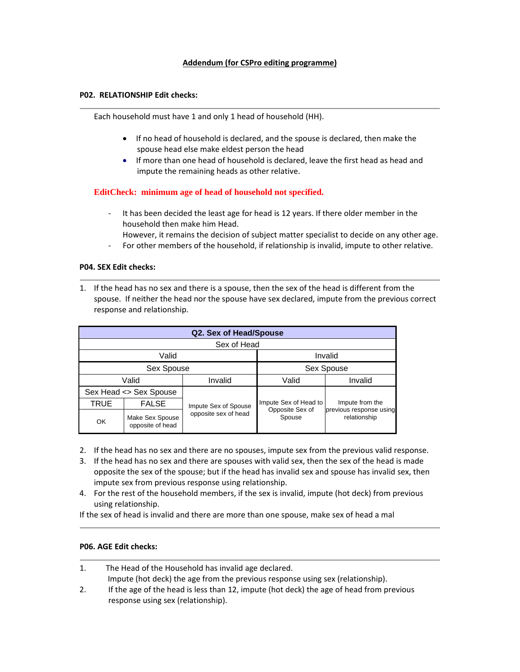## **P02. RELATIONSHIP Edit checks:**

Each household must have 1 and only 1 head of household (HH).

- If no head of household is declared, and the spouse is declared, then make the spouse head else make eldest person the head
- If more than one head of household is declared, leave the first head as head and impute the remaining heads as other relative.

## **EditCheck: minimum age of head of household not specified.**

- It has been decided the least age for head is 12 years. If there older member in the household then make him Head.
- However, it remains the decision of subject matter specialist to decide on any other age.
- ‐ For other members of the household, if relationship is invalid, impute to other relative.

#### **P04. SEX Edit checks:**

1. If the head has no sex and there is a spouse, then the sex of the head is different from the spouse. If neither the head nor the spouse have sex declared, impute from the previous correct response and relationship.

| Q2. Sex of Head/Spouse |                                     |                      |                           |                                         |  |
|------------------------|-------------------------------------|----------------------|---------------------------|-----------------------------------------|--|
| Sex of Head            |                                     |                      |                           |                                         |  |
|                        | Valid                               |                      | Invalid                   |                                         |  |
|                        | Sex Spouse                          |                      | Sex Spouse                |                                         |  |
| Valid<br>Invalid       |                                     |                      | Valid                     | Invalid                                 |  |
| Sex Head <> Sex Spouse |                                     |                      |                           |                                         |  |
| TRUE                   | <b>FALSE</b>                        | Impute Sex of Spouse | Impute Sex of Head to     | Impute from the                         |  |
| <b>OK</b>              | Make Sex Spouse<br>opposite of head | opposite sex of head | Opposite Sex of<br>Spouse | previous response using<br>relationship |  |

- 2. If the head has no sex and there are no spouses, impute sex from the previous valid response.
- 3. If the head has no sex and there are spouses with valid sex, then the sex of the head is made opposite the sex of the spouse; but if the head has invalid sex and spouse has invalid sex, then impute sex from previous response using relationship.
- 4. For the rest of the household members, if the sex is invalid, impute (hot deck) from previous using relationship.

If the sex of head is invalid and there are more than one spouse, make sex of head a mal

## **P06. AGE Edit checks:**

1. The Head of the Household has invalid age declared. Impute (hot deck) the age from the previous response using sex (relationship). 2. If the age of the head is less than 12, impute (hot deck) the age of head from previous response using sex (relationship).